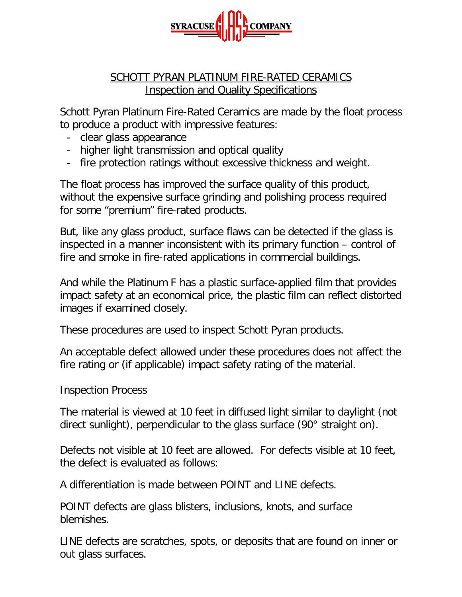

## SCHOTT PYRAN PLATINUM FIRE-RATED CERAMICS Inspection and Quality Specifications

Schott Pyran Platinum Fire-Rated Ceramics are made by the float process to produce a product with impressive features:

- clear glass appearance
- higher light transmission and optical quality
- fire protection ratings without excessive thickness and weight.

The float process has improved the surface quality of this product, without the expensive surface grinding and polishing process required for some "premium" fire-rated products.

But, like any glass product, surface flaws can be detected if the glass is inspected in a manner inconsistent with its primary function – control of fire and smoke in fire-rated applications in commercial buildings.

And while the Platinum F has a plastic surface-applied film that provides impact safety at an economical price, the plastic film can reflect distorted images if examined closely.

These procedures are used to inspect Schott Pyran products.

An acceptable defect allowed under these procedures does not affect the fire rating or (if applicable) impact safety rating of the material.

## Inspection Process

The material is viewed at 10 feet in diffused light similar to daylight (not direct sunlight), perpendicular to the glass surface (90° straight on).

Defects not visible at 10 feet are allowed. For defects visible at 10 feet, the defect is evaluated as follows:

A differentiation is made between POINT and LINE defects.

POINT defects are glass blisters, inclusions, knots, and surface blemishes.

LINE defects are scratches, spots, or deposits that are found on inner or out glass surfaces.